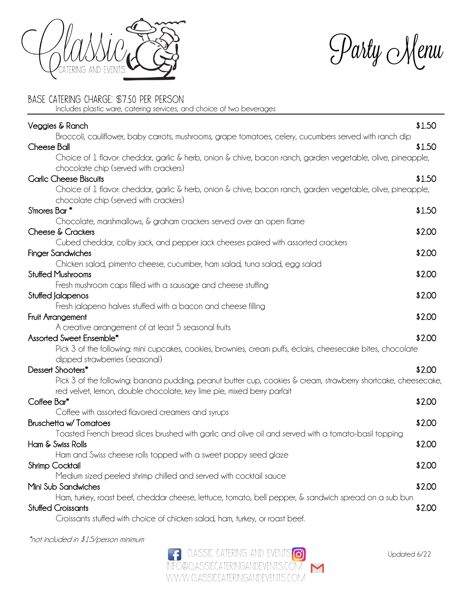

 $\mathcal{P}$ arty Menu

## Base Catering Charge: \$7.50 per person

Includes plastic ware, catering services, and choice of two beverages

| Veggies & Ranch                                                                                                                                      | \$1.50 |
|------------------------------------------------------------------------------------------------------------------------------------------------------|--------|
| Broccoli, cauliflower, baby carrots, mushrooms, grape tomatoes, celery, cucumbers served with ranch dip<br>Cheese Ball                               | \$1.50 |
| Choice of 1 flavor: cheddar, garlic & herb, onion & chive, bacon ranch, garden vegetable, olive, pineapple,<br>chocolate chip (served with crackers) |        |
| <b>Garlic Cheese Biscuits</b>                                                                                                                        | \$1.50 |
| Choice of 1 flavor: cheddar, garlic & herb, onion & chive, bacon ranch, garden vegetable, olive, pineapple,<br>chocolate chip (served with crackers) |        |
| S'mores Bar <sup>*</sup>                                                                                                                             | \$1.50 |
| Chocolate, marshmallows, & graham crackers served over an open flame                                                                                 |        |
| Cheese & Crackers                                                                                                                                    | \$2.00 |
| Cubed cheddar, colby jack, and pepper jack cheeses paired with assorted crackers                                                                     |        |
| <b>Finger Sandwiches</b>                                                                                                                             | \$2.00 |
| Chicken salad, pimento cheese, cucumber, ham salad, tuna salad, egg salad<br><b>Stuffed Mushrooms</b>                                                | \$2.00 |
| Fresh mushroom caps filled with a sausage and cheese stuffing                                                                                        |        |
| Stuffed Jalapenos                                                                                                                                    | \$2.00 |
| Fresh jalapeno halves stuffed with a bacon and cheese filling                                                                                        |        |
| Fruit Arrangement                                                                                                                                    | \$2.00 |
| A creative arrangement of at least 5 seasonal fruits                                                                                                 |        |
| Assorted Sweet Ensemble*                                                                                                                             | \$2.00 |
| Pick 3 of the following: mini cupcakes, cookies, brownies, cream puffs, éclairs, cheesecake bites, chocolate                                         |        |
| dipped strawberries (seasonal)                                                                                                                       |        |
| Dessert Shooters*                                                                                                                                    | \$2.00 |
| Pick 3 of the following: banana pudding, peanut butter cup, cookies & cream, strawberry shortcake, cheesecake,                                       |        |
| red velvet, lemon, double chocolate, key lime pie, mixed berry parfait                                                                               |        |
| Coffee Bar*                                                                                                                                          | \$2.00 |
| Coffee with assorted flavored creamers and syrups                                                                                                    |        |
| <b>Bruschetta w/ Tomatoes</b>                                                                                                                        | \$2.00 |
| Toasted French bread slices brushed with garlic and olive oil and served with a tomato-basil topping                                                 |        |
| Ham & Swiss Rolls                                                                                                                                    | \$2.00 |
| Ham and Swiss cheese rolls topped with a sweet poppy seed glaze                                                                                      |        |
| Shrimp Cocktail                                                                                                                                      | \$2.00 |
| Medium sized peeled shrimp chilled and served with cocktail sauce<br>Mini Sub Sandwiches                                                             | \$2.00 |
| Ham, turkey, roast beef, cheddar cheese, lettuce, tomato, bell pepper, & sandwich spread on a sub bun                                                |        |
| <b>Stuffed Croissants</b>                                                                                                                            | \$2.00 |
| Croissants stuffed with choice of chicken salad, ham, turkey, or roast beef.                                                                         |        |
|                                                                                                                                                      |        |

\*not included in \$15/person minimum

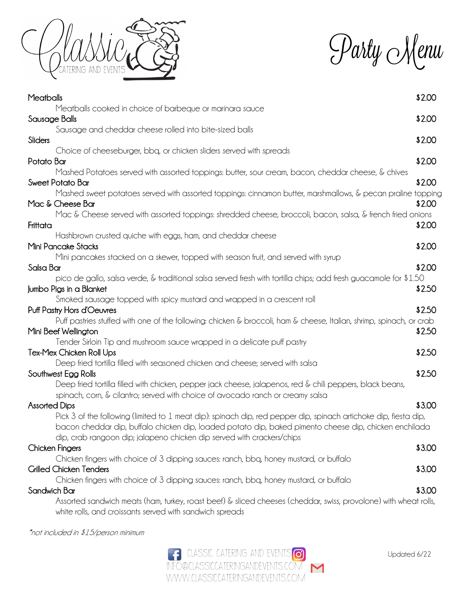

Party Menu

| Meatballs                                                                                                            | \$2.00 |
|----------------------------------------------------------------------------------------------------------------------|--------|
| Meatballs cooked in choice of barbeque or marinara sauce                                                             |        |
| Sausage Balls                                                                                                        | \$2.00 |
| Sausage and cheddar cheese rolled into bite-sized balls                                                              |        |
| Sliders                                                                                                              | \$2.00 |
| Choice of cheeseburger, bbq, or chicken sliders served with spreads                                                  |        |
| Potato Bar                                                                                                           | \$2.00 |
| Mashed Potatoes served with assorted toppings: butter, sour cream, bacon, cheddar cheese, & chives                   |        |
| Sweet Potato Bar                                                                                                     | \$2.00 |
| Mashed sweet potatoes served with assorted toppings: cinnamon butter, marshmallows, & pecan praline topping          |        |
| Mac & Cheese Bar                                                                                                     | \$2.00 |
| Mac & Cheese served with assorted toppings: shredded cheese, broccoli, bacon, salsa, & french fried onions           |        |
| Frittata                                                                                                             | \$2.00 |
| Hashbrown crusted quiche with eggs, ham, and cheddar cheese                                                          |        |
| Mini Pancake Stacks                                                                                                  | \$2.00 |
| Mini pancakes stacked on a skewer, topped with season fruit, and served with syrup                                   |        |
| Salsa Bar                                                                                                            | \$2.00 |
| pico de gallo, salsa verde, & traditional salsa served fresh with tortilla chips; add fresh guacamole for \$1.50     |        |
| Jumbo Pigs in a Blanket                                                                                              | \$2.50 |
| Smoked sausage topped with spicy mustard and wrapped in a crescent roll                                              |        |
| Puff Pastry Hors d'Oeuvres                                                                                           | \$2.50 |
| Puff pastries stuffed with one of the following: chicken & broccoli, ham & cheese, Italian, shrimp, spinach, or crab |        |
| Mini Beef Wellington                                                                                                 | \$2.50 |
| Tender Sirloin Tip and mushroom sauce wrapped in a delicate puff pastry                                              |        |
| Tex-Mex Chicken Roll Ups                                                                                             | \$2.50 |
| Deep fried tortilla filled with seasoned chicken and cheese; served with salsa                                       |        |
| Southwest Egg Rolls                                                                                                  | \$2.50 |
| Deep fried tortilla filled with chicken, pepper jack cheese, jalapenos, red $\&$ chili peppers, black beans,         |        |
| spinach, corn, & cilantro; served with choice of avocado ranch or creamy salsa                                       |        |
| <b>Assorted Dips</b>                                                                                                 | \$3.00 |
| Pick 3 of the following (limited to 1 meat dip): spinach dip, red pepper dip, spinach artichoke dip, fiesta dip,     |        |
| bacon cheddar dip, buffalo chicken dip, loaded potato dip, baked pimento cheese dip, chicken enchilada               |        |
| dip, crab rangoon dip; jalapeno chicken dip served with crackers/chips                                               |        |
| Chicken Fingers                                                                                                      | \$3.00 |
| Chicken fingers with choice of 3 dipping sauces: ranch, bbq, honey mustard, or buffalo                               |        |
| <b>Grilled Chicken Tenders</b>                                                                                       | \$3.00 |
| Chicken fingers with choice of 3 dipping sauces: ranch, bbq, honey mustard, or buffalo                               |        |
| Sandwich Bar                                                                                                         | \$3.00 |
| Assorted sandwich meats (ham, turkey, roast beef) & sliced cheeses (cheddar, swiss, provolone) with wheat rolls,     |        |
| white rolls, and croissants served with sandwich spreads                                                             |        |

\*not included in \$15/person minimum